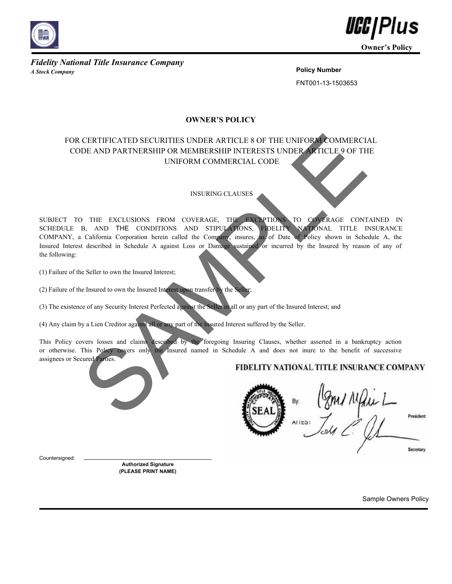



*Fidelity National Title Insurance Company A Stock Company* 

**Policy Number** FNT001-13-1503653

# **OWNER'S POLICY**

# FOR CERTIFICATED SECURITIES UNDER ARTICLE 8 OF THE UNIFORM COMMERCIAL CODE AND PARTNERSHIP OR MEMBERSHIP INTERESTS UNDER ARTICLE 9 OF THE UNIFORM COMMERCIAL CODE

INSURING CLAUSES

SUBJECT TO THE EXCLUSIONS FROM COVERAGE, THE EXCEPTIONS TO COVERAGE CONTAINED IN SCHEDULE B, AND THE CONDITIONS AND STIPULATIONS, FIDELITY NATIONAL TITLE INSURANCE COMPANY, a California Corporation herein called the Company, insures, as of Date of Policy shown in Schedule A, the Insured Interest described in Schedule A against Loss or Damage sustained or incurred by the Insured by reason of any of the following: CERTIFICATED SECURITIES UNDER ARTICLE 8 OF THE UNIFORM COMMERCIDE<br>
IDENTIFICATED OR THE UNIFORM COMMERCIAL CODE<br>
ISSUENG CLAUSES<br>
ISSUENG CLAUSES<br>
ISSUENG CLAUSES<br>
ISSUENG CLAUSES<br>
ISSUENG CLAUSES<br>
ISSUENG CLAUSES<br>
ISSUENG

(1) Failure of the Seller to own the Insured Interest;

(2) Failure of the Insured to own the Insured Interest upon transfer by the Seller;

(3) The existence of any Security Interest Perfected against the Seller in all or any part of the Insured Interest; and

(4) Any claim by a Lien Creditor against all or any part of the Insured Interest suffered by the Seller.

This Policy covers losses and claims described by the foregoing Insuring Clauses, whether asserted in a bankruptcy action or otherwise. This Policy covers only the Insured named in Schedule A and does not inure to the benefit of successive assignees or Secured Parties.



Countersigned:

**Authorized Signature (PLEASE PRINT NAME)**

Sample Owners Policy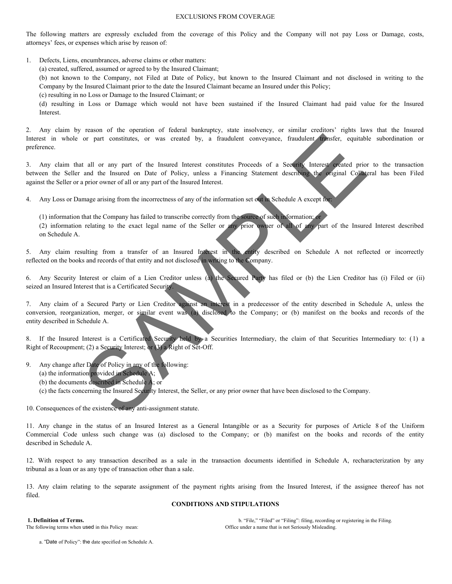# EXCLUSIONS FROM COVERAGE

The following matters are expressly excluded from the coverage of this Policy and the Company will not pay Loss or Damage, costs, attorneys' fees, or expenses which arise by reason of:

1. Defects, Liens, encumbrances, adverse claims or other matters: (a) created, suffered, assumed or agreed to by the Insured Claimant; (b) not known to the Company, not Filed at Date of Policy, but known to the Insured Claimant and not disclosed in writing to the Company by the Insured Claimant prior to the date the Insured Claimant became an Insured under this Policy; (c) resulting in no Loss or Damage to the Insured Claimant; or (d) resulting in Loss or Damage which would not have been sustained if the Insured Claimant had paid value for the Insured **Interest** 

2. Any claim by reason of the operation of federal bankruptcy, state insolvency, or similar creditors' rights laws that the Insured Interest in whole or part constitutes, or was created by, a fraudulent conveyance, fraudulent transfer, equitable subordination or preference.

3. Any claim that all or any part of the Insured Interest constitutes Proceeds of a Security Interest created prior to the transaction between the Seller and the Insured on Date of Policy, unless a Financing Statement describing the original Collateral has been Filed against the Seller or a prior owner of all or any part of the Insured Interest. or part constitutes, or was created by, a fraudulent conveyance, fraudulent messer, equitable<br>at all or any part of the Insured Interest constitutes Proceeds of a Second Interest organal Collar<br>and the Insured on Date of P

4. Any Loss or Damage arising from the incorrectness of any of the information set out in Schedule A except for:

- (1) information that the Company has failed to transcribe correctly from the source of such information; or
- (2) information relating to the exact legal name of the Seller or any prior owner of all of any part of the Insured Interest described on Schedule A.

5. Any claim resulting from a transfer of an Insured Interest in the entity described on Schedule A not reflected or incorrectly reflected on the books and records of that entity and not disclosed in writing to the Company.

6. Any Security Interest or claim of a Lien Creditor unless (a) the Secured Party has filed or (b) the Lien Creditor has (i) Filed or (ii) seized an Insured Interest that is a Certificated Security.

7. Any claim of a Secured Party or Lien Creditor against an interest in a predecessor of the entity described in Schedule A, unless the conversion, reorganization, merger, or similar event was (a) disclosed to the Company; or (b) manifest on the books and records of the entity described in Schedule A.

8. If the Insured Interest is a Certificated Security held by a Securities Intermediary, the claim of that Securities Intermediary to: (1) a Right of Recoupment; (2) a Security Interest; or (3) a Right of Set-Off.

- 9. Any change after Date of Policy in any of the following:
	- (a) the information provided in Schedule A;
	- (b) the documents described in Schedule A; or
	- (c) the facts concerning the Insured Security Interest, the Seller, or any prior owner that have been disclosed to the Company.

10. Consequences of the existence of any anti-assignment statute.

11. Any change in the status of an Insured Interest as a General Intangible or as a Security for purposes of Article 8 of the Uniform Commercial Code unless such change was (a) disclosed to the Company; or (b) manifest on the books and records of the entity described in Schedule A.

12. With respect to any transaction described as a sale in the transaction documents identified in Schedule A, recharacterization by any tribunal as a loan or as any type of transaction other than a sale.

13. Any claim relating to the separate assignment of the payment rights arising from the Insured Interest, if the assignee thereof has not filed.

# **CONDITIONS AND STIPULATIONS**

**1. Definition of Terms. b.** "File," "Filed" or "Filing, recording or registering in the Filing. The following terms when used in this Policy mean: Office under a name that is not Seriously Misleading.

a. "Date of Policy": the date specified on Schedule A.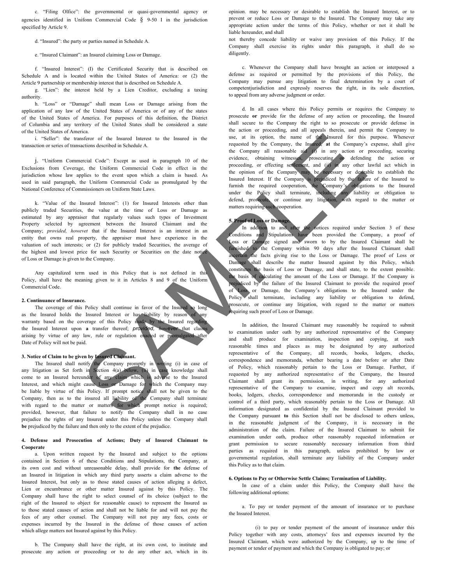c. "Filing Olfice": the governmental or quasi-governmental agency or agencies identified in Unifonn Commercial Code  $\S$  9-50 I in the jurisdiction specified by Article 9.

d. "Insured": the party or parties named in Schedule A.

#### e. "Insured Claimant": an Insured claiming Loss or Damage.

f. "Insured Interest": (I) the Certificated Security that is described on Schedule A and is located within the United States of America: or (2) the Article 9 partnership or membership interest that is described on Schedule A.

g. "Lien": the interest held by a Lien Creditor, excluding a taxing authority.

h. "Loss" or "Damage" shall mean Loss or Damage arising from the application of any law of the United States of America or of any of the states of the United States of America. For purposes of this definition, the District of Columbia and any territory of the United States shall be considered a state of the United States of America.

i. "Seller": the transferor of the Insured Interest to the Insured in the transaction or series of transactions described in Schedule A.

j. "Uniform Commercial Code": Except as used in paragraph 10 of the Exclusions from Coverage, the Uniform Commercial Code in effect in the jurisdiction whose law applies to the event upon which a claim is based. As used in said paragraph, the Uniform Commercial Code as promulgated by the National Conference of Commissioners on Uniform State Laws.

k. "Value of the Insured Interest": (1) for Insured Interests other than publicly traded Securities, the value at the time of Loss or Damage as estimated by any appraiser that regularly values such types of Investment Property selected by agreement between the Insured Claimant and the Company; *provided, howevet* that if the Insured Interest is an interest in an entity that owns real property, the appraiser must have experience in the valuation of such interests; or (2) for publicly traded Securities, the average of the highest and lowest price for such Security or Securities on the date notice of Loss or Damage is given to the Company.

Any capitalized term used in this Policy that is not defined in this Policy, shall have the meaning given to it in Articles 8 and 9 of the Uniform Commercial Code.

#### **2. Continuance of Insurance.**

The coverage of this Policy shall continue in favor of the Insured so long as the Insured holds the Insured Interest or has liability by reason of any warranty based on the coverage of this Policy made by the Insured regarding the Insured Interest upon **a** transfer thereof; *provided, however* that claims arising by virtue of any law, rule or regulation enacted or promulgated after Date of Policy will not be paid.

# **3. Notice of Claim to be given by Insured Claimant.**

The Insured shall notify the Company promptly in writing (i) in case of any litigation as Set forth in Section 4(a) below, (ii) in case knowledge shall come to an Insured hereunder of any claim which is adverse to the Insured Interest, and which might cause Loss or Damage for which the Company may be liable by virtue of this Policy. If prompt notice shall not be given to the Company, then as to the insured all liability of the Company shall terminate with regard to the matter or matters for which prompt notice is required; provided, however, that failure to notify the Company shall in no case prejudice the rights of any Insured under this Policy unless the Company shall **be** prejudiced by the failure and then only to the extent of the prejudice.

## **4. Defense and Prosecution of Actions; Duty of Insured Claimant to Cooperate**

a. Upon written request by the Insured and subject to the options contained in Section 6 of these Conditions and Stipulations, the Company, at its own cost and without unreasonable delay, shall provide for **the** defense of an Insured in litigation in which any third party asserts a claim adverse to the Insured Interest, but only as to those stated causes of action alleging a defect, Lien or encumbrance or other matter Insured against by this Policy. The Company shall have the right to select counsel of its choice (subject to the right of the Insured to object for reasonable cause) to represent the Insured as to those stated causes of action and shall not be liable for and will not pay the fees of any other counsel. The Company will not pay any fees, costs or expenses incurred by the Insured in the defense of those causes of action which allege matters not Insured against by this Policy.

b. The Company shall have the right, at its own cost, to institute and prosecute any action or proceeding or to do any other act, which in its opinion. may be necessary or desirable to establish the Insured Interest, or to prevent or reduce Loss or Damage to the Insured. The Company may take any appropriate action under the terms of this Policy, whether or not it shall be liable hereunder, and shall

not thereby concede liability or waive any provision of this Policy. If the Company shall exercise its rights under this paragraph, it shall do so diligently.

c. Whenever the Company shall have brought an action or interposed a defense as required or permitted by the provisions of this Policy, the Company may pursue any litigation to final determination by a court of competentjurisdiction and expressly reserves the right, in its sole discretion, to appeal from any adverse judgment or order.

d. In all cases where this Policy permits or requires the Company to prosecute **or** provide for the defense of any action or proceeding, the Insured shall secure to the Company the right to so prosecute or provide defense in the action or proceeding, and all appeals therein, and permit the Company to use, at its option, the name of the Insured for this purpose. Whenever requested by the Company, the Insured, **at** the Company's expense, shall give the Company all reasonable aid (i) in any action or proceeding, securing evidence, obtaining witnesses, prosecuting or defending the action or proceeding, or effecting settlement, and (ii) in any other lawful act which in the opinion of the Company may be necessary or desirable to establish the Insured Interest. If the Company is prejudiced by the failure of the Insured to furnish the required cooperation, the Company's obligations to the Insured under the Policy shall terminate, including any liability or obligation to defend, prosecute, or continue any litigation, with regard to the matter or matters requiring such cooperation.

# **5. Proof of Loss or Damage.**

In addition to and after the notices required under Section 3 of these Conditions and Stipulations have been provided the Company, a proof of Loss or Damage signed and sworn to by the Insured Claimant shall be furnished to the Company within 90 days after the Insured Claimant shall ascertain the facts giving rise to the Loss or Damage. The proof of Loss or Damage shall describe the matter Insured against by this Policy, which constitutes the basis of Loss or Damage, and shall state, to the extent possible. basis of calculating the amount of the Loss or Damage. If the Company is prejudiced by the failure of the Insured Claimant to provide the required proof of Loss or Damage, the Company's obligations to the Insured under the Policy shall terminate, including any liability or obligation to defend, prosecute, or continue any litigation, with regard to the matter or matters requiring such proof of Loss or Damage.

In addition, the Insured Claimant may reasonably be required to submit to examination under oath by any authorized representative of the Company and shall produce for examination, inspection and copying, at such reasonable times and places as may be designated by any authorized representative of the Company, all records, books, ledgers, checks, correspondence and memoranda, whether bearing a date before or after Date of Policy, which reasonably pertain to the Loss or Damage. Further, if requested by any authorized representative of the Company, the Insured Claimant shall grant its permission, in writing, for any authorized representative of the Company to examine, inspect and copy alt records, books, ledgers, checks, correspondence and memoranda in the custody or control of a third party, which reasonably pertain to the Loss or Damage. All information designated as confidential by the Insured Claimant provided to the Company pursuant **to** this Section shall not be disclosed to others unless, in the reasonable judgment of the Company, it is necessary in the administration of the claim. Failure of the Insured Claimant to submit for examination under oath, produce other reasonably requested information or grant permission to secure reasonably necessary information from third parties as required in this paragraph, unless prohibited by law or governmental regulation, shall terminate any liability of the Company under this Policy as to that claim. The the three of the lineard interest to the frequency of the based of the company of the Company and the control of the company of the company of the control of the company of the control of the control of the control of

### **6. Options to Pay or Otherwise Settle Claims; Termination of Liability.**

In case of a claim under this Policy, the Company shall have the following additional options:

a. To pay or tender payment of the amount of insurance or to purchase the Insured Interest.

(i) to pay or tender payment of the amount of insurance under this Policy together with any costs, attorneys' fees and expenses incurred by the Insured Claimant, which were authorized by the Company, up to the time of payment or tender of payment and which the Company is obligated to pay; or